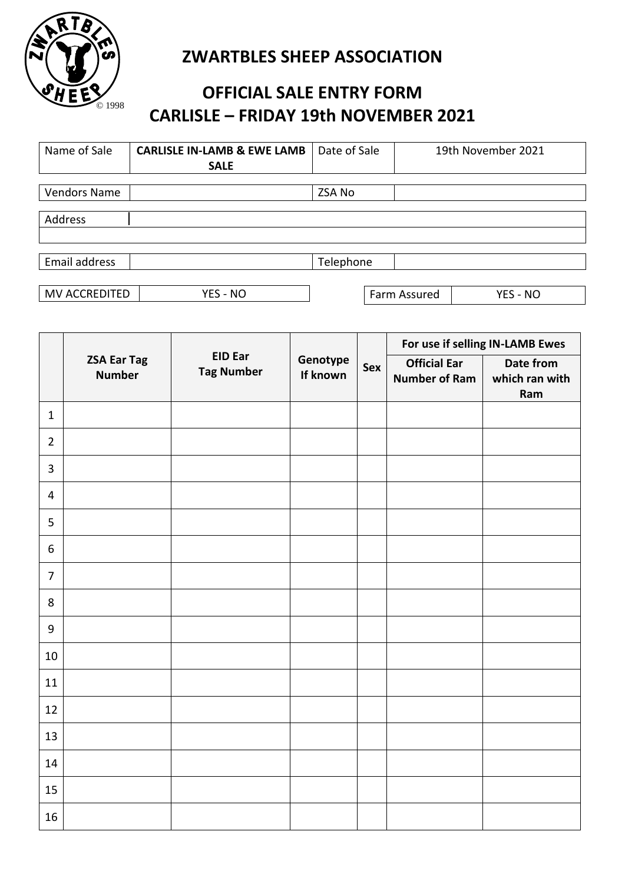

## **ZWARTBLES SHEEP ASSOCIATION**

## **OFFICIAL SALE ENTRY FORM CARLISLE – FRIDAY 19th NOVEMBER 2021**

| Name of Sale        | <b>CARLISLE IN-LAMB &amp; EWE LAMB</b> | Date of Sale | 19th November 2021       |
|---------------------|----------------------------------------|--------------|--------------------------|
|                     | <b>SALE</b>                            |              |                          |
|                     |                                        |              |                          |
| <b>Vendors Name</b> |                                        | ZSA No       |                          |
|                     |                                        |              |                          |
| Address             |                                        |              |                          |
|                     |                                        |              |                          |
|                     |                                        |              |                          |
| Email address       |                                        | Telephone    |                          |
|                     |                                        |              |                          |
| MV ACCREDITED       | YES - NO                               |              | Farm Assured<br>YES - NO |

|                |                                     |                                     |                      | Sex | For use if selling IN-LAMB Ewes             |                                    |
|----------------|-------------------------------------|-------------------------------------|----------------------|-----|---------------------------------------------|------------------------------------|
|                | <b>ZSA Ear Tag</b><br><b>Number</b> | <b>EID Ear</b><br><b>Tag Number</b> | Genotype<br>If known |     | <b>Official Ear</b><br><b>Number of Ram</b> | Date from<br>which ran with<br>Ram |
| $\mathbf{1}$   |                                     |                                     |                      |     |                                             |                                    |
| $\overline{2}$ |                                     |                                     |                      |     |                                             |                                    |
| $\overline{3}$ |                                     |                                     |                      |     |                                             |                                    |
| $\overline{4}$ |                                     |                                     |                      |     |                                             |                                    |
| 5              |                                     |                                     |                      |     |                                             |                                    |
| 6              |                                     |                                     |                      |     |                                             |                                    |
| $\overline{7}$ |                                     |                                     |                      |     |                                             |                                    |
| 8              |                                     |                                     |                      |     |                                             |                                    |
| $9\,$          |                                     |                                     |                      |     |                                             |                                    |
| 10             |                                     |                                     |                      |     |                                             |                                    |
| 11             |                                     |                                     |                      |     |                                             |                                    |
| 12             |                                     |                                     |                      |     |                                             |                                    |
| 13             |                                     |                                     |                      |     |                                             |                                    |
| 14             |                                     |                                     |                      |     |                                             |                                    |
| 15             |                                     |                                     |                      |     |                                             |                                    |
| 16             |                                     |                                     |                      |     |                                             |                                    |